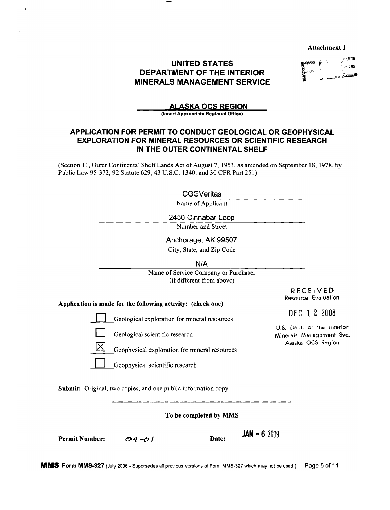**Attachment 1** 

# **UNITED STATES DEPARTMENT OF THE INTERIOR MINERALS MANAGEMENT SERVICE**

|  | ł       | $5.757$<br>次次課 |
|--|---------|----------------|
|  | فلتلخصن | كتخفض          |

## **ALASKA OCS REGION**

(Insert Appropriate Regional Office)

## **APPLICATION FOR PERMIT TO CONDUCT GEOLOGICAL OR GEOPHYSICAL EXPLORATION FOR MINERAL RESOURCES OR SCIENTIFIC RESEARCH** IN THE OUTER CONTINENTAL SHELF

(Section 11, Outer Continental Shelf Lands Act of August 7, 1953, as amended on September 18, 1978, by Public Law 95-372, 92 Statute 629, 43 U.S.C. 1340; and 30 CFR Part 251)

| $\operatorname{\mathsf{CGGVeritas}}$ |
|--------------------------------------|
|--------------------------------------|

CGGVeritas<br>Name of Applicant

2450 Cinnabar Loop Number and Street

Anchorage, AK 99507

City, State, and Zip Code

 $N/A$ 

Name of Service Company or Purchaser (if different from above)

> **RECEIVED** Resource Evaluation

Application is made for the following activity: (check one)

Geological exploration for mineral resources

Geological scientific research

Geophysical exploration for mineral resources

Geophysical scientific research

DEC 1 2 2008

U.S. Dept. of the interior Minerals Management Svc. Alaska OCS Region

Submit: Original, two copies, and one public information copy.

To be completed by MMS

| <b>Permit Number:</b> | $04 - 01$ | Date: | $JAN - 62009$ |
|-----------------------|-----------|-------|---------------|
|                       |           |       |               |

MMS Form MMS-327 (July 2006 - Supersedes all previous versions of Form MMS-327 which may not be used.) Page 5 of 11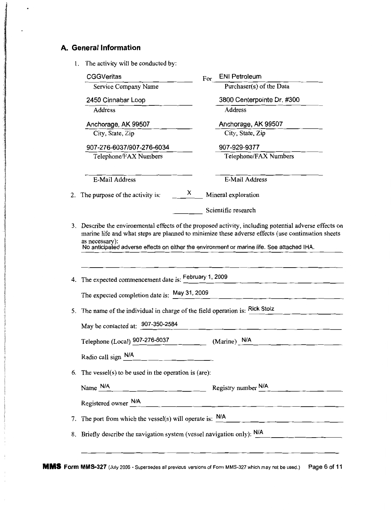# A. General Information

 $\ddot{i}$ 

1. The activity will be conducted by:

|    | <b>CGGVeritas</b>                                                                                                       | For | <b>ENI Petroleum</b>                                                                                                                                                                                                                   |  |  |  |
|----|-------------------------------------------------------------------------------------------------------------------------|-----|----------------------------------------------------------------------------------------------------------------------------------------------------------------------------------------------------------------------------------------|--|--|--|
|    | Service Company Name                                                                                                    |     | Purchaser(s) of the Data                                                                                                                                                                                                               |  |  |  |
|    | 2450 Cinnabar Loop                                                                                                      |     | 3800 Centerpointe Dr. #300                                                                                                                                                                                                             |  |  |  |
|    | Address                                                                                                                 |     | <b>Address</b>                                                                                                                                                                                                                         |  |  |  |
|    | Anchorage, AK 99507                                                                                                     |     | Anchorage, AK 99507                                                                                                                                                                                                                    |  |  |  |
|    | City, State, Zip                                                                                                        |     | City, State, Zip                                                                                                                                                                                                                       |  |  |  |
|    | 907-276-6037/907-276-6034                                                                                               |     | 907-929-9377                                                                                                                                                                                                                           |  |  |  |
|    | Telephone/FAX Numbers                                                                                                   |     | Telephone/FAX Numbers                                                                                                                                                                                                                  |  |  |  |
|    | E-Mail Address                                                                                                          |     | <b>E-Mail Address</b>                                                                                                                                                                                                                  |  |  |  |
| 2. | X<br>The purpose of the activity is:                                                                                    |     | Mineral exploration                                                                                                                                                                                                                    |  |  |  |
|    |                                                                                                                         |     | Scientific research                                                                                                                                                                                                                    |  |  |  |
|    | as necessary):<br>No anticipated adverse effects on either the environment or marine life. See attached IHA.            |     | 3. Describe the environmental effects of the proposed activity, including potential adverse effects on<br>marine life and what steps are planned to minimize these adverse effects (use continuation sheets                            |  |  |  |
|    | 4. The expected commencement date is: February 1, 2009                                                                  |     |                                                                                                                                                                                                                                        |  |  |  |
|    | The expected completion date is: May 31, 2009                                                                           |     |                                                                                                                                                                                                                                        |  |  |  |
|    | 5. The name of the individual in charge of the field operation is: Rick Stolz                                           |     |                                                                                                                                                                                                                                        |  |  |  |
|    | May be contacted at: 907-350-2584                                                                                       |     |                                                                                                                                                                                                                                        |  |  |  |
|    | Telephone (Local) 907-276-6037                                                                                          |     | (Marine) N/A                                                                                                                                                                                                                           |  |  |  |
|    | Radio call sign N/A                                                                                                     |     |                                                                                                                                                                                                                                        |  |  |  |
|    | 6. The vessel(s) to be used in the operation is (are):                                                                  |     |                                                                                                                                                                                                                                        |  |  |  |
|    | Name N/A                                                                                                                |     | $\frac{1}{1}$ Registry number $\frac{N/A}{1}$ . The same set of the same set of the same set of the same set of the same set of the same set of the same set of the same set of the same set of the same set of the same set of the sa |  |  |  |
|    | Registered owner N/A                                                                                                    |     |                                                                                                                                                                                                                                        |  |  |  |
|    | 7. The port from which the vessel(s) will operate is: $N/A$                                                             |     |                                                                                                                                                                                                                                        |  |  |  |
|    | 8. Briefly describe the navigation system (vessel navigation only): N/A<br>the control of the control of the control of |     |                                                                                                                                                                                                                                        |  |  |  |
|    |                                                                                                                         |     |                                                                                                                                                                                                                                        |  |  |  |

MMS Form MMS-327 (July 2006 - Supersedes all previous versions of Form MMS-327 which may not be used.) Page 6 of 11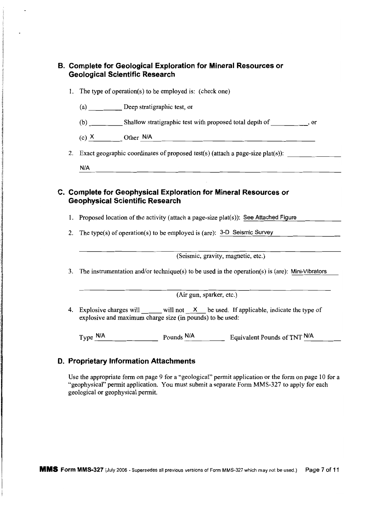|    |                                        | 1. The type of operation(s) to be employed is: (check one)                                                                                                 |                                                                                                 |
|----|----------------------------------------|------------------------------------------------------------------------------------------------------------------------------------------------------------|-------------------------------------------------------------------------------------------------|
|    | (a) Deep stratigraphic test, or        |                                                                                                                                                            |                                                                                                 |
|    |                                        |                                                                                                                                                            |                                                                                                 |
|    |                                        | (c) $X$ Other $N/A$ Other $\frac{N}{A}$                                                                                                                    |                                                                                                 |
|    |                                        |                                                                                                                                                            | 2. Exact geographic coordinates of proposed test(s) (attach a page-size plat(s)):               |
|    | N/A                                    |                                                                                                                                                            |                                                                                                 |
| 2. | <b>Geophysical Scientific Research</b> | C. Complete for Geophysical Exploration for Mineral Resources or<br>1. Proposed location of the activity (attach a page-size plat(s)): See Attached Figure |                                                                                                 |
|    |                                        | The type(s) of operation(s) to be employed is (are): $3-D$ Seismic Survey                                                                                  |                                                                                                 |
|    |                                        | (Seismic, gravity, magnetic, etc.)                                                                                                                         |                                                                                                 |
| 3. |                                        |                                                                                                                                                            | The instrumentation and/or technique(s) to be used in the operation(s) is (are): Mini-Vibrators |
|    |                                        | (Air gun, sparker, etc.)                                                                                                                                   |                                                                                                 |
|    |                                        | explosive and maximum charge size (in pounds) to be used:                                                                                                  | 4. Explosive charges will will not X be used. If applicable, indicate the type of               |

Use the appropriate form on page 9 for a "geological" permit application or the form on page 10 for a "geophysical" permit application. You must submit a separate Form MMS-327 to apply for each geological or geophysical permit.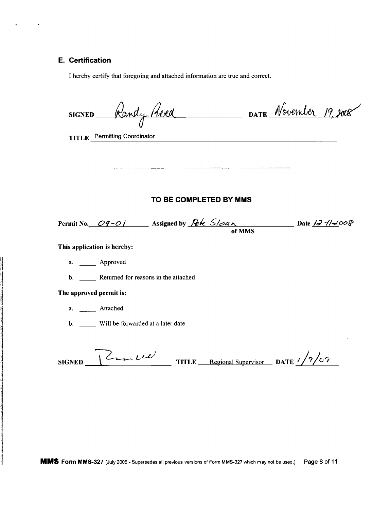# E. Certification

 $\bullet$  . The second  $\bullet$ 

**Sidukana** 

I hereby certify that foregoing and attached information are true and correct.

| SIGNED Randy Heed                                                                 | DATE November 19.                                            |
|-----------------------------------------------------------------------------------|--------------------------------------------------------------|
| TITLE Permitting Coordinator                                                      |                                                              |
|                                                                                   |                                                              |
|                                                                                   |                                                              |
| TO BE COMPLETED BY MMS                                                            |                                                              |
| Permit No. 09-01 Assigned by Pete $S/\sim a_N$ Date $\frac{12\pi}{\omega^2}$ Oo P |                                                              |
| This application is hereby:                                                       |                                                              |
| a. Approved                                                                       |                                                              |
| b. Returned for reasons in the attached                                           |                                                              |
| The approved permit is:                                                           |                                                              |
| a. ________ Attached                                                              |                                                              |
| b. Will be forwarded at a later date                                              |                                                              |
| $1cm\omega$<br><b>SIGNED</b>                                                      | TITLE Regional Supervisor DATE $\frac{1}{2}\sqrt{2}\sqrt{6}$ |

MMS Form MMS-327 (July 2006 - Supersedes all previous versions of Form MMS-327 which may not be used.) Page 8 of 11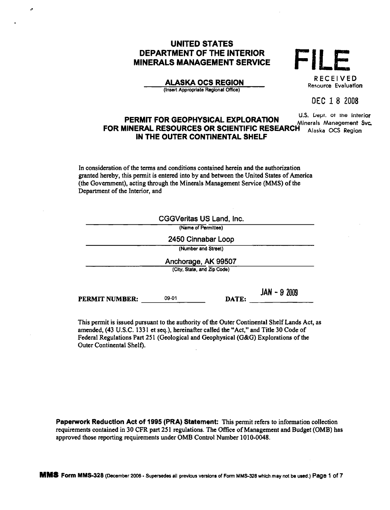# **UNITED STATES DEPARTMENT OF THE INTERIOR MINERALS MANAGEMENT SERVICE**

**ALASKA OCS REGION** 

(Insert Appropriate Regional Office)

|  | <b>RECEIVED</b><br>Resource Evaluatio <b>n</b> |
|--|------------------------------------------------|

DEC 18 2008

U.S. Dept. of the Interior PERMIT FOR GEOPHYSICAL EXPLORATION Minerals Managem<mark>ent Svc.</mark> FOR MINERAL RESOURCES OR SCIENTIFIC RESEARCH Alaska OCS Region IN THE OUTER CONTINENTAL SHELF

In consideration of the terms and conditions contained herein and the authorization granted hereby, this permit is entered into by and between the United States of America (the Government), acting through the Minerals Management Service (MMS) of the Department of the Interior, and

|                             |       | <b>CGGVeritas US Land, Inc.</b> |               |  |  |
|-----------------------------|-------|---------------------------------|---------------|--|--|
|                             |       | (Name of Permittee)             |               |  |  |
| 2450 Cinnabar Loop          |       |                                 |               |  |  |
|                             |       | (Number and Street)             |               |  |  |
| Anchorage, AK 99507         |       |                                 |               |  |  |
| (City, State, and Zip Code) |       |                                 |               |  |  |
| <b>PERMIT NUMBER:</b>       | 09-01 | DATE:                           | $JAN - 92009$ |  |  |

This permit is issued pursuant to the authority of the Outer Continental Shelf Lands Act, as amended, (43 U.S.C. 1331 et seq.), hereinafter called the "Act," and Title 30 Code of Federal Regulations Part 251 (Geological and Geophysical (G&G) Explorations of the Outer Continental Shelf).

Paperwork Reduction Act of 1995 (PRA) Statement: This permit refers to information collection requirements contained in 30 CFR part 251 regulations. The Office of Management and Budget (OMB) has approved those reporting requirements under OMB Control Number 1010-0048.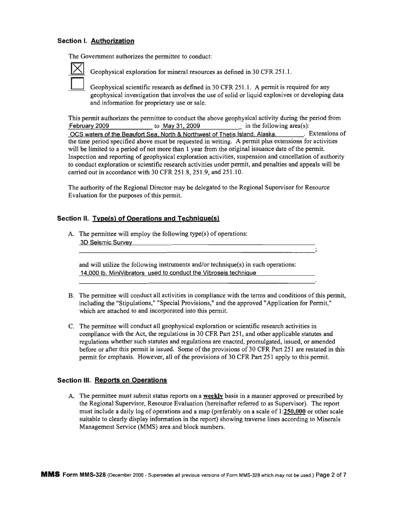## **Section I. Authorization**

The Government authorizes the permittee to conduct:



Geophysical exploration for mineral resources as defined in 30 CFR 251.1.

Geophysical scientific research as defined in 30 CFR 251.1. A permit is required for any geophysical investigation that involves the use of solid or liquid explosives or developing data and information for proprietary use or sale.

This pennit authorizes the pennittee to conduct the above geophysical activity during the period from February 2009 to May 31, 2009 in the following area(s):

OCS waters of the Beaufort Sea. North & Northwest of Thetis Island, Alaska. **Extensions of** the time period specified above must be requested in writing. A pennit plus extensions for activities will be limited to a period of not more than 1 year from the original issuance date of the permit. Inspection and reporting of geophysical exploration activities, suspension and cancellation of authority to conduct exploration or scientific research activities under pennit, and penalties and appeals will be carried out in accordance with 30 CFR 251.8,251.9, and 251.10.

The authority of the Regional Director may be delegated to the Regional Supervisor for Resource Evaluation for the purposes of this permit.

## **Section II. Type(s) of Operations and Technique(s)**

A. The permittee will employ the following type(s) of operations: 3D Seismic Survey

and will utilize the following instruments and/or technique(s) in such operations: 14,000 lb. MiniVibrators used to conduct the Vibroseis technique

- B. The permittee will conduct all activities in compliance with the terms and conditions of this permit, including the "Stipulations," "Special Provisions," and the approved "Application for Pennit," which are attached to and incorporated into this permit.
- C. The pennittee will conduct all geophysical exploration or scientific research activities in compliance with the Act, the regulations in 30 CFR Part 251, and other applicable statutes and regulations whether such statutes and regulations are enacted, promulgated, issued, or amended before or after this permit is issued. Some of the provisions of 30 CFR Part 251 are restated in this permit for emphasis. However, all of the provisions of 30 CFR Part 251 apply to this permit.

#### **Section III. Reports on Operations**

A. The pennittee must submit status reports on a weekly basis in a manner approved or prescribed by the Regional Supervisor, Resource Evaluation (hereinafter referred to as Supervisor). The report must include a daily log of operations and a map (preferably on a scale of 1:250,000 or other scale suitable to clearly display infonnation in the report) showing traverse lines according to Minerals Management Service (MMS) area and block numbers.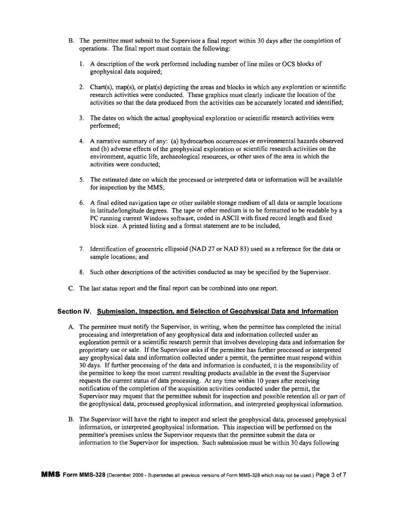- B. The pennittee must submit to the Supervisor a final report within 30 days after the completion of operations. The final report must contain the following:
	- 1. A description of the work performed including number of line miles or OCS blocks of geophysical data acquired;
	- 2. Chart(s), map(s), or plat(s) depicting the areas and blocks in which any exploration or scientific research activities were conducted. These graphics must clearly indicate the location ofthe activities so that the data produced from the activities can be accurately located and identified;
	- 3. The dates on which the actual geophysical exploration or scientific research activities were performed;
	- 4. A narrative summary of any: (a) hydrocarbon occurrences or environmental hazards observed and (b) adverse effects of the geophysical exploration or scientific research activities on the environment, aquatic life, archaeological resources, or other uses ofthe area in which the activities were conducted;
	- 5. The estimated date on which the processed or interpreted data or infonnation will be available for inspection by the MMS;
	- 6. A final edited navigation tape or other suitable storage medium of all data or sample locations in latitude/longitude degrees. The tape or other medium is to be fonnatted to be readable by a PC running current Windows software, coded in ASCII with fixed record length and fixed block size. A printed listing and a format statement are to be included.
	- 7. Identification of geocentric ellipsoid (NAD 27 or NAD 83) used as a reference for the data or sample locations; and
	- 8. Such other descriptions of the activities conducted as may be specified by the Supervisor.
- C. The last status report and the final report can be combined into one report.

#### **Section IV. Submission. Inspection. and Selection of Geophysical Data and Information**

- A. The permittee must notify the Supervisor, in writing, when the permittee has completed the initial processing and interpretation of any geophysical data and infonnation collected under an exploration pennit or a scientific research pennit that involves developing data and infonnation for proprietary use or sale. Ifthe Supervisor asks ifthe pennittee has further processed or interpreted any geophysical data and information collected under a permit, the permittee must respond within 30 days. If further processing of the data and information is conducted, it is the responsibility of the pennittee to keep the most current resulting products available in the event the Supervisor requests the current status of data processing. At any time within 10 years after receiving notification of the completion of the acquisition activities conducted under the permit, the Supervisor may request that the pennittee submit for inspection and possible retention all or part of the geophysical data, processed geophysical infonnation, and interpreted geophysical infonnation.
- B. The Supervisor will have the right to inspect and select the geophysical data, processed geophysical infonnation, or interpreted geophysical infonnation. This inspection will be perfonned on the pennittee's premises unless the Supervisor requests that the pennittee submit the data or infonnation to the Supervisor for inspection. Such submission must be within 30 days following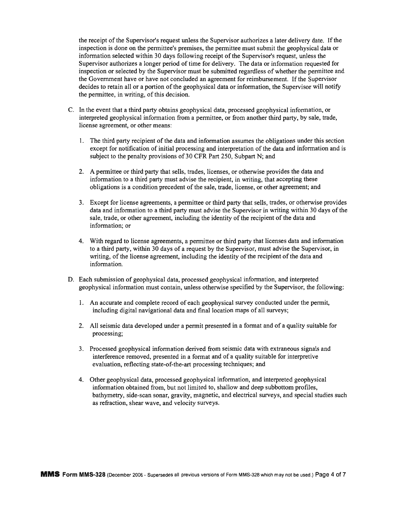the receipt of the Supervisor's request unless the Supervisor authorizes a later delivery date. If the inspection is done on the permittee's premises, the permittee must submit the geophysical data or information selected within 30 days following receipt of the Supervisor's request, unless the Supervisor authorizes a longer period of time for delivery. The data or information requested for inspection or selected by the Supervisor must be submitted regardless of whether the permittee and the Government have or have not concluded an agreement for reimbursement. If the Supervisor decides to retain all or a portion of the geophysical data or information, the Supervisor will notify the permittee, in writing, of this decision.

- C. In the event that a third party obtains geophysical data, processed geophysical information, or interpreted geophysical information from a permittee, or from another third party, by sale, trade, license agreement, or other means:
	- 1. The third party recipient of the data and information assumes the obligations under this section except for notification of initial processing and interpretation of the data and information and is subject to the penalty provisions of 30 CFR Part 250, Subpart N; and
	- 2. A permittee or third party that sells, trades, licenses, or otherwise provides the data and information to a third party must advise the recipient, in writing, that accepting these obligations is a condition precedent of the sale, trade, license, or other agreement; and
	- 3. Except for license agreements, a permittee or third party that sells, trades, or otherwise provides data and information to a third party must advise the Supervisor in writing within 30 days ofthe sale, trade, or other agreement, including the identity of the recipient of the data and information; or
	- 4. With regard to license agreements, a permittee or third party that licenses data and information to a third party, within 30 days of a request by the Supervisor, must advise the Supervisor, in writing, of the license agreement, including the identity of the recipient of the data and information.
- D. Each submission of geophysical data, processed geophysical information, and interpreted geophysical information must contain, unless otherwise specified by the Supervisor, the following:
	- 1. An accurate and complete record of each geophysical survey conducted under the permit, including digital navigational data and final location maps of all surveys;
	- 2. All seismic data developed under a permit presented in a format and of a quality suitable for processing;
	- 3. Processed geophysical information derived from seismic data with extraneous signals and interference removed, presented in a format and of a quality suitable for interpretive evaluation, reflecting state-of-the-art processing techniques; and
	- 4. Other geophysical data, processed geophysical information, and interpreted geophysical information obtained from, but not limited to, shallow and deep subbottom profiles, bathymetry, side-scan sonar, gravity, magnetic, and electrical surveys, and special studies such as refraction, shear wave, and velocity surveys.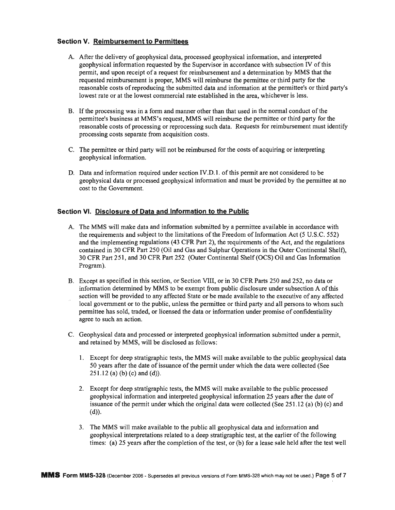## **Section V. Reimbursement to Permittees**

- A. After the delivery of geophysical data, processed geophysical infonnation, and interpreted geophysical infonnation requested by the Supervisor in accordance with subsection IV ofthis pennit, and upon receipt of a request for reimbursement and a detennination by MMS that the requested reimbursement is proper, MMS will reimburse the pennittee or third party for the reasonable costs ofreproducing the submitted data and infonnation at the pennittee's or third party's lowest rate or at the lowest commercial rate established in the area, whichever is less.
- B. If the processing was in a form and manner other than that used in the normal conduct of the pennittee's business at MMS's request, MMS will reimburse the pennittee or third party for the reasonable costs of processing or reprocessing such data. Requests for reimbursement must identify processing costs separate from acquisition costs.
- C. The pennittee or third party will not be reimbursed for the costs of acquiring or interpreting geophysical information.
- D. Data and information required under section IV.D.1. of this permit are not considered to be geophysical data or processed geophysical infonnation and must be provided by the pennittee at no cost to the Government.

## **Section VI. Disclosure of Data and Information to the Public**

- A. The MMS will make data and information submitted by a permittee available in accordance with the requirements and subject to the limitations of the Freedom of Information Act (5 U.S.C. 552) and the implementing regulations (43 CFR Part 2), the requirements ofthe Act, and the regulations contained in 30 CFR Part 250 (Oil and Gas and Sulphur Operations in the Outer Continental Shelf), 30 CFR Part 251, and 30 CFR Part 252 (Outer Continental Shelf(OCS) Oil and Gas Infonnation Program).
- B. Except as specified in this section, or Section VIII, or in 30 CFR Parts 250 and 252, no data or information determined by MMS to be exempt from public disclosure under subsection A of this section will be provided to any affected State or be made available to the executive of any affected local government or to the public, unless the permittee or third party and all persons to whom such pennittee has sold, traded, or licensed the data or infonnation under promise of confidentiality agree to such an action.
- C. Geophysical data and processed or interpreted geophysical infonnation submitted under a pennit, and retained by MMS, will be disclosed as follows:
	- 1. Except for deep stratigraphic tests, the MMS will make available to the public geophysical data 50 years after the date of issuance of the permit under which the data were collected (See  $251.12$  (a) (b) (c) and (d)).
	- 2. Except for deep stratigraphic tests, the MMS will make available to the public processed geophysical infonnation and interpreted geophysical infonnation 25 years after the date of issuance of the permit under which the original data were collected (See 251.12 (a) (b) (c) and  $(d)$ ).
	- 3. The MMS will make available to the public all geophysical data and infonnation and geophysical interpretations related to a deep stratigraphic test, at the earlier of the following times: (a) 25 years after the completion of the test, or (b) for a lease sale held after the test well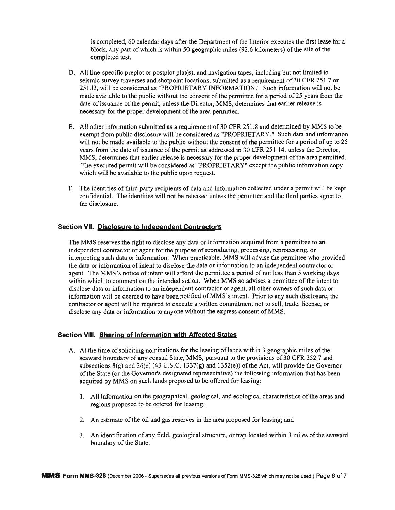is completed, 60 calendar days after the Department of the Interior executes the first lease for a block, any part of which is within 50 geographic miles (92.6 kilometers) of the site of the completed test.

- D. All line-specific preplot or postplot plat(s), and navigation tapes, including but not limited to seismic survey traverses and shotpoint locations, submitted as a requirement of 30 CFR 251.7 or 251.12, will be considered as "PROPRIETARY INFORMATION." Such information will not be made available to the public without the consent of the permittee for a period of 25 years from the date of issuance of the permit, unless the Director, MMS, determines that earlier release is necessary for the proper development of the area permitted.
- E. All other information submitted as a requirement of 30 CFR 251.8 and determined by MMS to be exempt from public disclosure will be considered as "PROPRIETARY." Such data and information will not be made available to the public without the consent of the permittee for a period of up to 25 years from the date of issuance of the permit as addressed in 30 CFR 251.14, unless the Director, MMS, determines that earlier release is necessary for the proper development of the area permitted. The executed permit will be considered as "PROPRIETARY" except the public information copy which will be available to the public upon request.
- F. The identities of third party recipients of data and information collected under a permit will be kept confidential. The identities will not be released unless the permittee and the third parties agree to the disclosure.

#### **Section VII. Disclosure to Independent Contractors**

The MMS reserves the right to disclose any data or information acquired from a permittee to an independent contractor or agent for the purpose of reproducing, processing, reprocessing, or interpreting such data or information. When practicable, MMS will advise the permittee who provided the data or information of intent to disclose the data or information to an independent contractor or agent. The MMS's notice of intent will afford the permittee a period of not less than 5 working days within which to comment on the intended action. When MMS so advises a permittee of the intent to disclose data or information to an independent contractor or agent, all other owners ofsuch data or information will be deemed to have been notified ofMMS's intent. Prior to any such disclosure, the contractor or agent will be required to execute a written commitment not to sell, trade, license, or disclose any data or information to anyone without the express consent ofMMS.

#### **Section VIII. Sharing of Information with Affected States**

- A. At the time of soliciting nominations for the leasing of lands within 3 geographic miles of the seaward boundary of any coastal State, MMS, pursuant to the provisions of 30 CFR 252.7 and subsections  $8(g)$  and  $26(e)$  (43 U.S.C. 1337 $(g)$  and 1352 $(e)$ ) of the Act, will provide the Governor ofthe State (or the Governor's designated representative) the following information that has been acquired by MMS on such lands proposed to be offered for leasing:
	- 1. All information on the geographical, geological, and ecological characteristics ofthe areas and regions proposed to be offered for leasing;
	- 2. An estimate ofthe oil and gas reserves in the area proposed for leasing; and
	- 3. An identification of any field, geological structure, or trap located within 3 miles ofthe seaward boundary of the State.